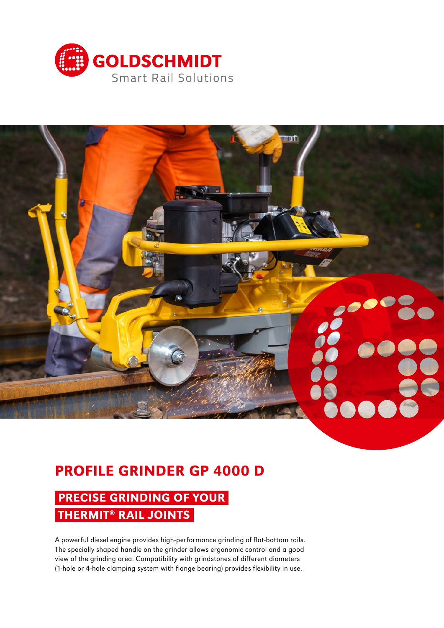



# PROFILE GRINDER GP 4000 D

# PRECISE GRINDING OF YOUR THERMIT<sup>®</sup> RAIL JOINTS

A powerful diesel engine provides high-performance grinding of flat-bottom rails. The specially shaped handle on the grinder allows ergonomic control and a good view of the grinding area. Compatibility with grindstones of different diameters (1-hole or 4-hole clamping system with flange bearing) provides flexibility in use.